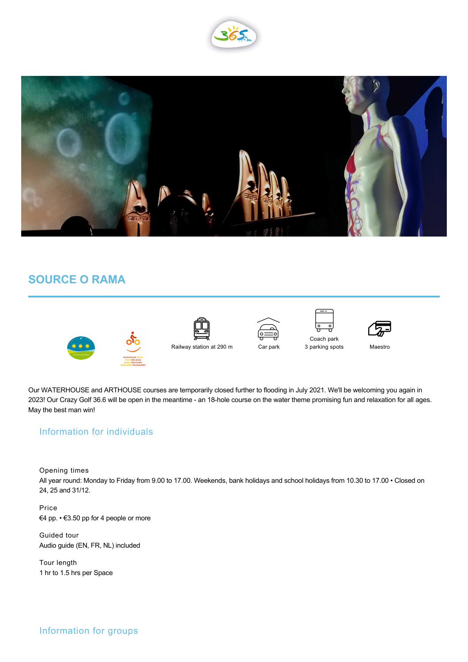



## **SOURCE O RAMA**









Coach park  $\begin{bmatrix} 1 \\ -1 \\ -1 \end{bmatrix}$ 3 parking spots



Maestro

Our WATERHOUSE and ARTHOUSE courses are temporarily closed further to flooding in July 2021. We'll be welcoming you again in 2023! Our Crazy Golf 36.6 will be open in the meantime - an 18-hole course on the water theme promising fun and relaxation for all ages. May the best man win!

## Information for individuals

Opening times

All year round: Monday to Friday from 9.00 to 17.00. Weekends, bank holidays and school holidays from 10.30 to 17.00 • Closed on 24, 25 and 31/12.

Price €4 pp. • €3.50 pp for 4 people or more

Guided tour Audio guide (EN, FR, NL) included

Tour length 1 hr to 1.5 hrs per Space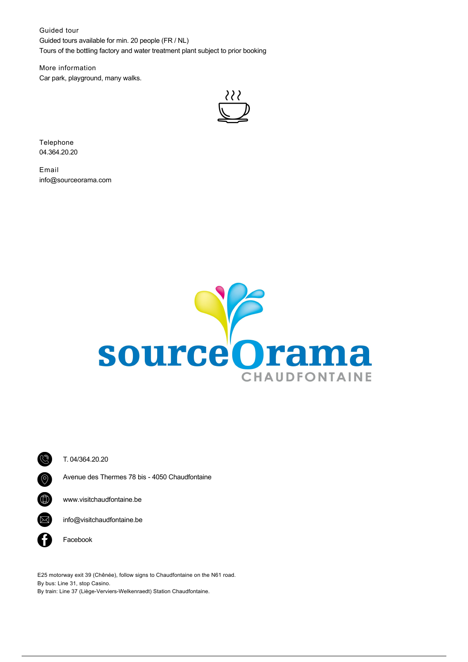Guided tour Guided tours available for min. 20 people (FR / NL) Tours of the bottling factory and water treatment plant subject to prior booking

More information Car park, playground, many walks.



Telephone 04.364.20.20

Email info@sourceorama.com





T. [04/364.20.20](tel:04/364.20.20)

Avenue des Thermes 78 bis - 4050 Chaudfontaine

[www.visitchaudfontaine.be](http://www.visitchaudfontaine.be)

 $\boxtimes$  [info@visitchaudfontaine.be](mailto:info@visitchaudfontaine.be)

**facebook** 

E25 motorway exit 39 (Chênée), follow signs to Chaudfontaine on the N61 road. By bus: Line 31, stop Casino. By train: Line 37 (Liège-Verviers-Welkenraedt) Station Chaudfontaine.